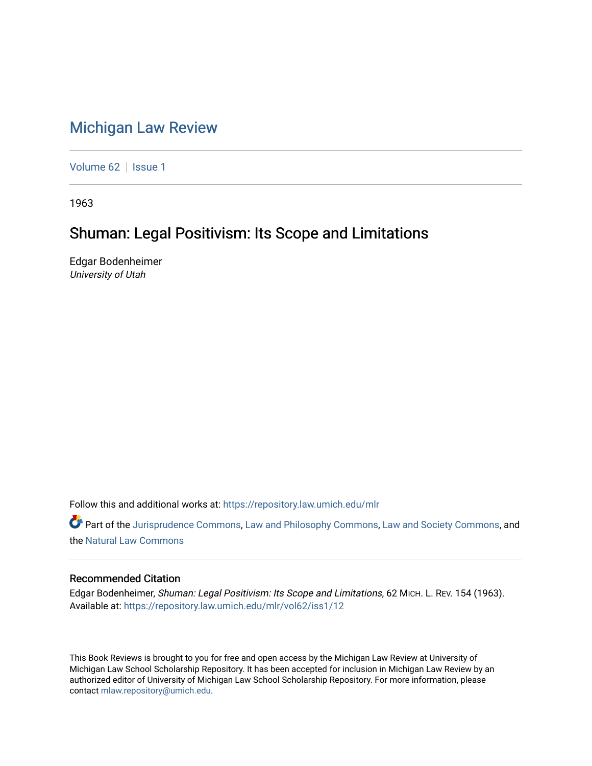## [Michigan Law Review](https://repository.law.umich.edu/mlr)

[Volume 62](https://repository.law.umich.edu/mlr/vol62) | [Issue 1](https://repository.law.umich.edu/mlr/vol62/iss1)

1963

## Shuman: Legal Positivism: Its Scope and Limitations

Edgar Bodenheimer University of Utah

Follow this and additional works at: [https://repository.law.umich.edu/mlr](https://repository.law.umich.edu/mlr?utm_source=repository.law.umich.edu%2Fmlr%2Fvol62%2Fiss1%2F12&utm_medium=PDF&utm_campaign=PDFCoverPages) 

Part of the [Jurisprudence Commons](http://network.bepress.com/hgg/discipline/610?utm_source=repository.law.umich.edu%2Fmlr%2Fvol62%2Fiss1%2F12&utm_medium=PDF&utm_campaign=PDFCoverPages), [Law and Philosophy Commons](http://network.bepress.com/hgg/discipline/1299?utm_source=repository.law.umich.edu%2Fmlr%2Fvol62%2Fiss1%2F12&utm_medium=PDF&utm_campaign=PDFCoverPages), [Law and Society Commons,](http://network.bepress.com/hgg/discipline/853?utm_source=repository.law.umich.edu%2Fmlr%2Fvol62%2Fiss1%2F12&utm_medium=PDF&utm_campaign=PDFCoverPages) and the [Natural Law Commons](http://network.bepress.com/hgg/discipline/1263?utm_source=repository.law.umich.edu%2Fmlr%2Fvol62%2Fiss1%2F12&utm_medium=PDF&utm_campaign=PDFCoverPages)

## Recommended Citation

Edgar Bodenheimer, Shuman: Legal Positivism: Its Scope and Limitations, 62 MICH. L. REV. 154 (1963). Available at: [https://repository.law.umich.edu/mlr/vol62/iss1/12](https://repository.law.umich.edu/mlr/vol62/iss1/12?utm_source=repository.law.umich.edu%2Fmlr%2Fvol62%2Fiss1%2F12&utm_medium=PDF&utm_campaign=PDFCoverPages) 

This Book Reviews is brought to you for free and open access by the Michigan Law Review at University of Michigan Law School Scholarship Repository. It has been accepted for inclusion in Michigan Law Review by an authorized editor of University of Michigan Law School Scholarship Repository. For more information, please contact [mlaw.repository@umich.edu](mailto:mlaw.repository@umich.edu).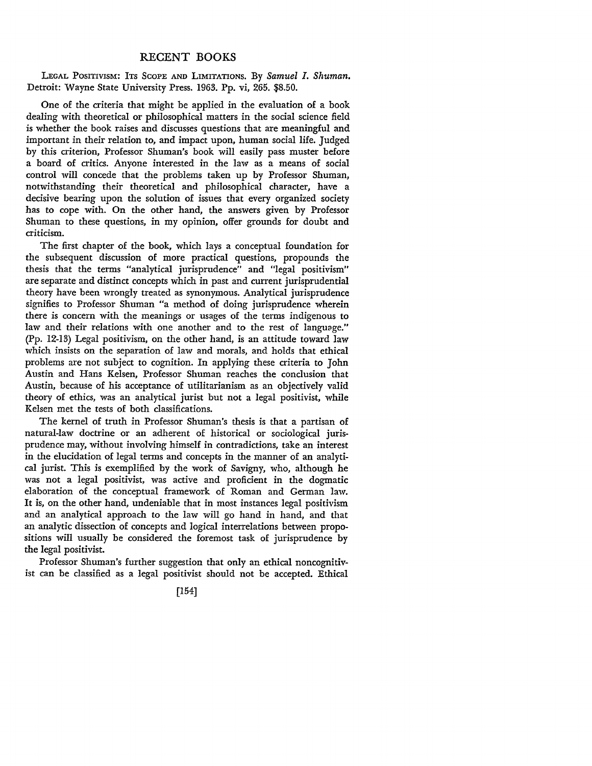## **RECENT** BOOKS

LEGAL **POSITIVISM:** ITS SCOPE **AND** LIMITATIONS. By *Samuel I. Shuman.* Detroit: Wayne State University Press. 1963. Pp. vi, 265. \$8.50.

One of the criteria that might be applied in the evaluation of a book dealing with theoretical or philosophical matters in the social science field is whether the book raises and discusses questions that are meaningful and important in their relation to, and impact upon, human social life. Judged by this criterion, Professor Shuman's book will easily pass muster before a board of critics. Anyone interested in the law as a means of social control will concede that the problems taken up by Professor Shuman, notwithstanding their theoretical and philosophical character, have a decisive bearing upon the solution of issues that every organized society has to cope with. On the other hand, the answers given by Professor Shuman to these questions, in my opinion, offer grounds for doubt and criticism.

The first chapter of the book, which lays a conceptual foundation for the subsequent discussion of more practical questions, propounds the thesis that the terms "analytical jurisprudence" and "legal positivism" are separate and distinct concepts which in past and current jurisprudential theory have been wrongly treated as synonymous. Analytical jurisprudence signifies to Professor Shuman "a method of doing jurisprudence wherein there is concern with the meanings or usages of the terms indigenous to law and their relations with one another and to the rest of language." (Pp. 12-13) Legal positivism, on the other hand, is an attitude toward law which insists on the separation of law and morals, and holds that ethical problems are not subject to cognition. In applying these criteria to John Austin and Hans Kelsen, Professor Shuman reaches the conclusion that Austin, because of his acceptance of utilitarianism as an objectively valid theory of ethics, was an analytical jurist but not a legal positivist, while Kelsen met the tests of both classifications.

The kernel of truth in Professor Shuman's thesis is that a partisan of natural-law doctrine or an adherent of historical or sociological jurisprudence may, without involving himself in contradictions, take an interest in the elucidation of legal terms and concepts in the manner of an analytical jurist. This is exemplified by the work of Savigny, who, although he was not a legal positivist, was active and proficient in the dogmatic elaboration of the conceptual framework of Roman and German law. It is, on the other hand, undeniable that in most instances legal positivism and an analytical approach to the law will go hand in hand, and that an analytic dissection of concepts and logical interrelations between propositions will usually be considered the foremost task of jurisprudence by the legal positivist.

Professor Shuman's further suggestion that only an ethical noncognitivist can be classified as a legal positivist should not be accepted. Ethical

[154]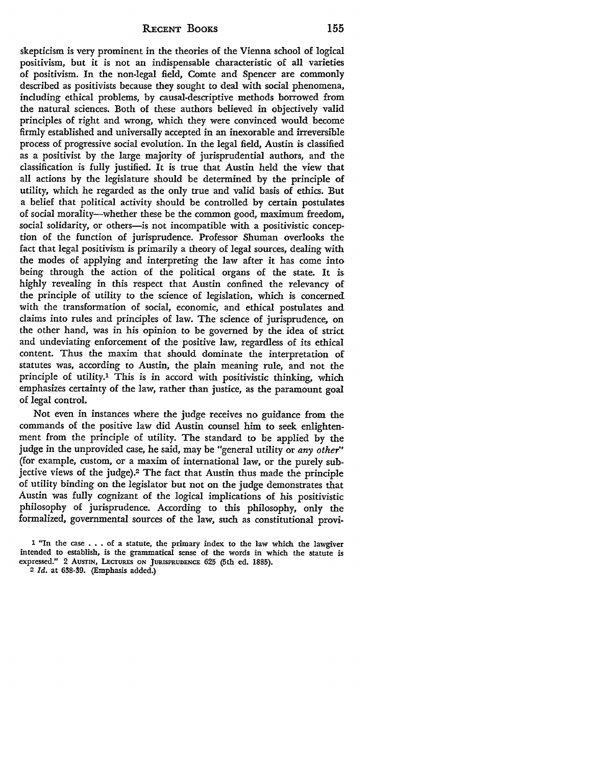skepticism is very prominent in the theories of the Vienna school of logical positivism, but it is not an indispensable characteristic of all varieties of positivism. In the non-legal field, Comte and Spencer are commonly described as positivists because they sought to deal with social phenomena, including ethical problems, by causal-descriptive methods borrowed from the natural sciences. Both of these authors believed in objectively valid principles of right and wrong, which they were convinced would become firmly established and universally accepted in an inexorable and irreversible process of progressive social evolution. In the legal field, Austin is classified as a positivist by the large majority of jurisprudential authors, and the classification is fully justified. It is true that Austin held the view that all actions by the legislature should be determined by the principle of utility, which he regarded as the only true and valid basis of ethics. But a belief that political activity should be controlled by certain postulates of social morality-whether these be the common good, maximum freedom, social solidarity, or others-is not incompatible with a positivistic conception of the function of jurisprudence. Professor Shuman overlooks the fact that legal positivism is primarily a theory of legal sources, dealing with the modes of applying and interpreting the law after it has come into being through the action of the political organs of the state. It is highly revealing in this respect that Austin confined the relevancy of the principle of utility to the science of legislation, which is concerned with the transformation of social, economic, and ethical postulates and claims into rules and principles of law. The science of jurisprudence, on the other hand, was in his opinion to be governed by the idea of strict and undeviating enforcement of the positive law, regardless of its ethical content. Thus the maxim that should dominate the interpretation of statutes was, according to Austin, the plain meaning rule, and not the principle of utility.' This is in accord with positivistic thinking, which emphasizes certainty of the law, rather than justice, as the paramount goal of legal control.

Not even in instances where the judge receives no guidance from the commands of the positive law did Austin counsel him to seek enlightenment from the principle of utility. The standard to be applied by the judge in the unprovided case, he said, may be "general utility or *any other"* (for example, custom, or a maxim of international law, or the purely subjective views of the judge).2 The fact that Austin thus made the principle of utility binding on the legislator but not on the judge demonstrates that Austin was fully cognizant of the logical implications of his positivistic philosophy of jurisprudence. According to this philosophy, only the formalized, governmental sources of the law, such as constitutional provi-

**<sup>1</sup>** "In the case . . . of a statute, the primary index to the law which the lawgiver intended to establish, is the grammatical sense of the words in which the statute is expressed." 2 Austin, LECTURES ON JURISPRUDENCE 625 (5th ed. 1885).

**<sup>2</sup>** *Id.* at **638-39.** (Emphasis added.)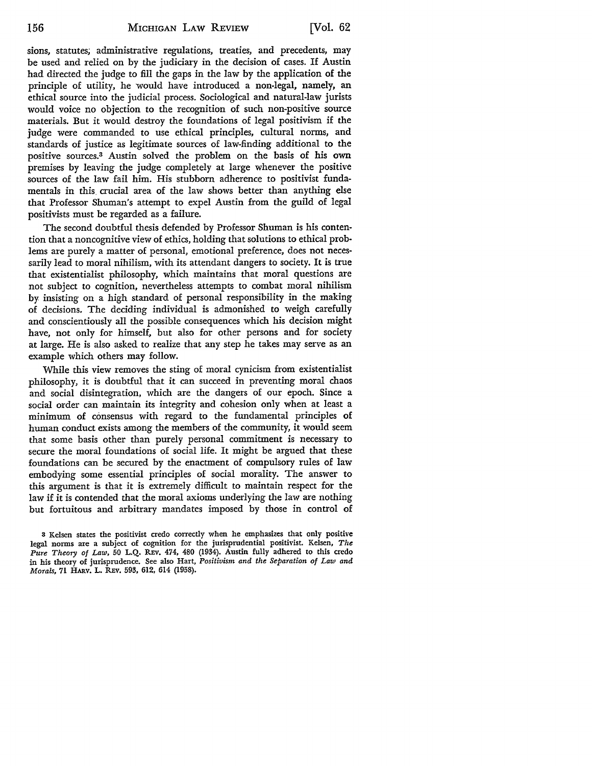sions, statutes; administrative regulations, treaties, and precedents, may be used and relied on by the judiciary in the decision of cases. If Austin had directed the judge to fill the gaps in the law by the application of the principle of utility, he would have introduced a non-legal, namely, an ethical source into the judicial process. Sociological and natural-law jurists would voice no objection to the recognition of such non-positive source materials. But it would destroy the foundations of legal positivism if the judge were commanded to use ethical principles, cultural norms, and standards of justice as legitimate sources of law-finding additional to the positive sources.3 Austin solved the problem on the basis of his own premises by leaving the judge completely at large whenever the positive sources of the law fail him. His stubborn adherence to positivist fundamentals in this crucial area of the law shows better than anything else that Professor Shuman's attempt to expel Austin from the guild of legal positivists must be regarded as a failure.

The second doubtful thesis defended by Professor Shuman is his contention that a noncognitive view of ethics, holding that solutions to ethical problems are purely a matter of personal, emotional preference, does not necessarily lead to moral nihilism, with its attendant dangers to society. It is true that existentialist philosophy, which maintains that moral questions are not subject to cognition, nevertheless attempts to combat moral nihilism by insisting on a high standard of personal responsibility in the making of decisions. The deciding individual is admonished to weigh carefully and conscientiously all the possible consequences which his decision might have, not only for himself, but also for other persons and for society at large. He is also asked to realize that any step he takes may serve as an example which others may follow.

While this view removes the sting of moral cynicism from existentialist philosophy, it is doubtful that it can succeed in preventing moral chaos and social disintegration, which are the dangers of our epoch. Since a social order can maintain its integrity and cohesion only when at least a minimum of consensus with regard to the fundamental principles of human conduct exists among the members of the community, it would seem that some basis other than purely personal commitment is necessary to secure the moral foundations of social life. It might be argued that these foundations can be secured by the enactment of compulsory rules of law embodying some essential principles of social morality. The answer to this argument is that it is extremely difficult to maintain respect for the law if it is contended that the moral axioms underlying the law are nothing but fortuitous and arbitrary mandates imposed by those in control of

**<sup>3</sup>** Kelsen states the positivist credo correctly when he emphasizes that only positive legal norms are a subject of cognition for the jurisprudential positivist. Kelsen, *The Pure Theory of Law,* **50 L.Q.** REV. 474, 480 (1934). Austin fully adhered to this credo in his theory of jurisprudence. See also Hart, *Positivism and the Separation of Law and Morals,* **71** HARv. L. REv. **593,** 612, 614 **(1958).**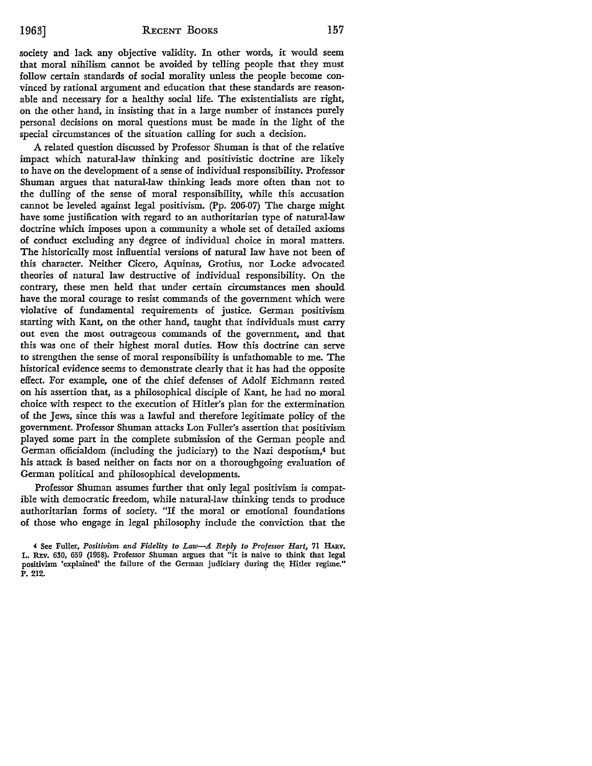society and lack any objective validity. In other words, it would seem that moral nihilism cannot be avoided by telling people that they must follow certain standards of social morality unless the people become convinced by rational argument and education that these standards are reasonable and necessary for a healthy social life. The existentialists are right, on the other hand, in insisting that in a large number of instances purely personal decisions on moral questions must be made in the light of the special circumstances of the situation calling for such a decision.

A related question discussed by Professor Shuman is that of the relative impact which natural-law thinking and positivistic doctrine are likely to have on the development of a sense of individual responsibility. Professor Shuman argues that natural-law thinking leads more often than not to the dulling of the sense of moral responsibility, while this accusation cannot be leveled against legal positivism. (Pp. 206-07) The charge might have some justification with regard to an authoritarian type of natural-law doctrine which imposes upon a community a whole set of detailed axioms of conduct excluding any degree of individual choice in moral matters. The historically most influential versions of natural law have not been of this character. Neither Cicero, Aquinas, Grotius, nor Locke advocated theories of natural law destructive of individual responsibility. On the contrary, these men held that under certain circumstances men should have the moral courage to resist commands of the government which were violative of fundamental requirements of justice. German positivism starting with Kant, on the other hand, taught that individuals must carry out even the most outrageous commands of the government, and that this was one of their highest moral duties. How this doctrine can serve to strengthen the sense of moral responsibility is unfathomable to me. The historical evidence seems to demonstrate dearly that it has had the opposite effect. For example, one of the chief defenses of Adolf Eichmann rested on his assertion that, as a philosophical disciple of Kant, he had no moral choice with respect to the execution of Hitler's plan for the extermination of the Jews, since this was a lawful and therefore legitimate policy of the government. Professor Shuman attacks Lon Fuller's assertion that positivism played some part in the complete submission of the German people and German officialdom (including the judiciary) to the Nazi despotism,<sup>4</sup> but his attack is based neither on facts nor on a thoroughgoing evaluation of German political and philosophical developments.

Professor Shuman assumes further that only legal positivism is compatible with democratic freedom, while natural-law thinking tends to produce authoritarian forms of society. "If the moral or emotional foundations of those who engage in legal philosophy include the conviction that the

**4 See** Fuller, *Positivism and Fidelity to Law-A Reply to Professor Hart,* **71** HARv. L. REV. 630, 659 (1958). Professor Shuman argues that "it is naive to think that legal positivism 'explained' the failure of the German judiciary during the Hitler regime." P. 212.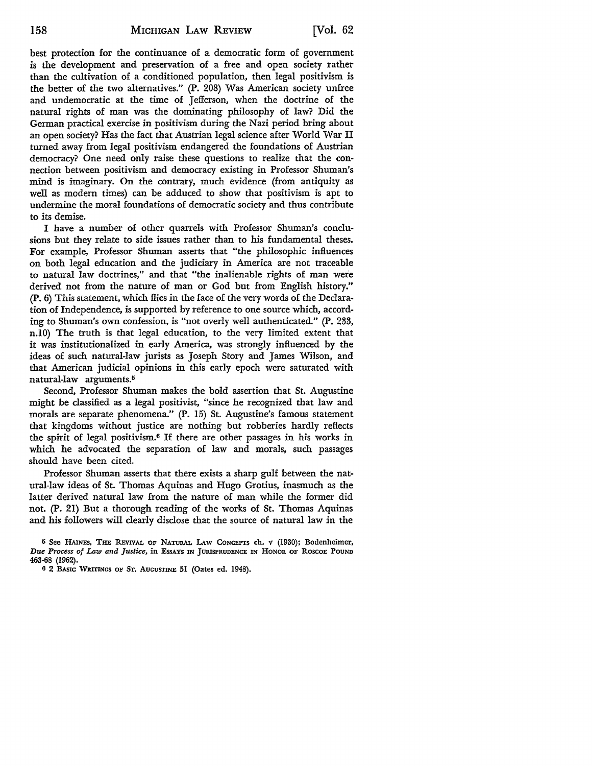best protection for the continuance of a democratic form of government is the development and preservation of a free and open society rather than the cultivation of a conditioned population, then legal positivism is the better of the two alternatives." (P. 208) Was American society unfree and undemocratic at the time of Jefferson, when the doctrine of the natural rights of man was the dominating philosophy of law? Did the German practical exercise in positivism during the Nazi period bring about an open society? Has the fact that Austrian legal science after World War II turned away from legal positivism endangered the foundations of Austrian democracy? One need only raise these questions to realize that the connection between positivism and democracy existing in Professor Shuman's mind is imaginary. On the contrary, much evidence (from antiquity as well as modem times) can be adduced to show that positivism is apt to undermine the moral foundations of democratic society and thus contribute to its demise.

I have a number of other quarrels with Professor Shuman's conclusions but they relate to side issues rather than to his fundamental theses. For example, Professor Shuman asserts that "the philosophic influences on both legal education and the judiciary in America are not traceable to natural law doctrines," and that "the inalienable rights of man were derived not from the nature of man or God but from English history." (P. **6)** This statement, which flies in the face of the very words of the Declaration of Independence, is supported by reference to one source which, according to Shuman's own confession, is "not overly well authenticated." (P. 233, n.10) The truth is that legal education, to the very limited extent that it was institutionalized in early America, was strongly influenced by the ideas of such natural-law jurists as Joseph Story and James Wilson, and that American judicial opinions in this early epoch were saturated with natural-law arguments. <sup>5</sup>

Second, Professor Shuman makes the bold assertion that St. Augustine might be classified as a legal positivist, "since he recognized that law and morals are separate phenomena." (P. 15) St. Augustine's famous statement that kingdoms without justice are nothing but robberies hardly reflects the spirit of legal positivism.6 If there are other passages in his works in which he advocated the separation of law and morals, such passages should have been cited.

Professor Shuman asserts that there exists a sharp gulf between the natural-law ideas of St. Thomas Aquinas and Hugo Grotius, inasmuch as the latter derived natural law from the nature of man while the former did not. (P. 21) But a thorough reading of the works of St. Thomas Aquinas and his followers will clearly disclose that the source of natural law in the

**<sup>5</sup>**See **HAINFS,** Tm **R vivAL OF NATURAL LAW CONCEPTS ch.** v (1930); Bodenheimer, *Due Process of Law and Justice,* **in** ESSAYS **IN JURISPRUDENCE IN HONOR OF ROSCOE POUND 463-68 (1962).**

**<sup>6</sup>** 2 **BASIC WariNGS OF ST. AUGUSTINE 51** (Oates **ed.** 1948).